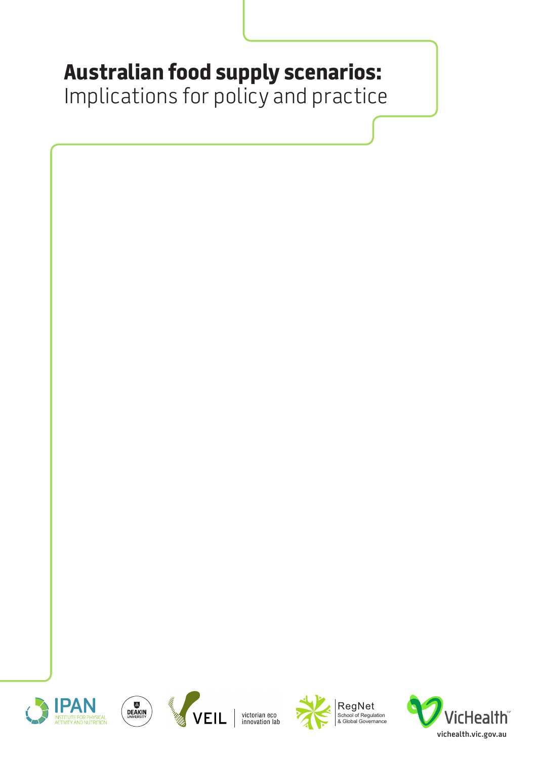# **Australian food supply scenarios:**

Implications for policy and practice









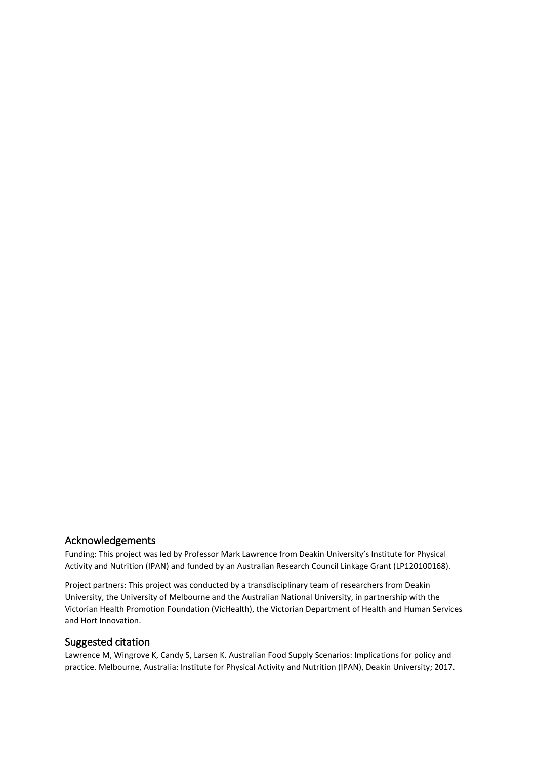#### Acknowledgements

Funding: This project was led by Professor Mark Lawrence from Deakin University's Institute for Physical Activity and Nutrition (IPAN) and funded by an Australian Research Council Linkage Grant (LP120100168).

Project partners: This project was conducted by a transdisciplinary team of researchers from Deakin University, the University of Melbourne and the Australian National University, in partnership with the Victorian Health Promotion Foundation (VicHealth), the Victorian Department of Health and Human Services and Hort Innovation.

#### Suggested citation

Lawrence M, Wingrove K, Candy S, Larsen K. Australian Food Supply Scenarios: Implications for policy and practice. Melbourne, Australia: Institute for Physical Activity and Nutrition (IPAN), Deakin University; 2017.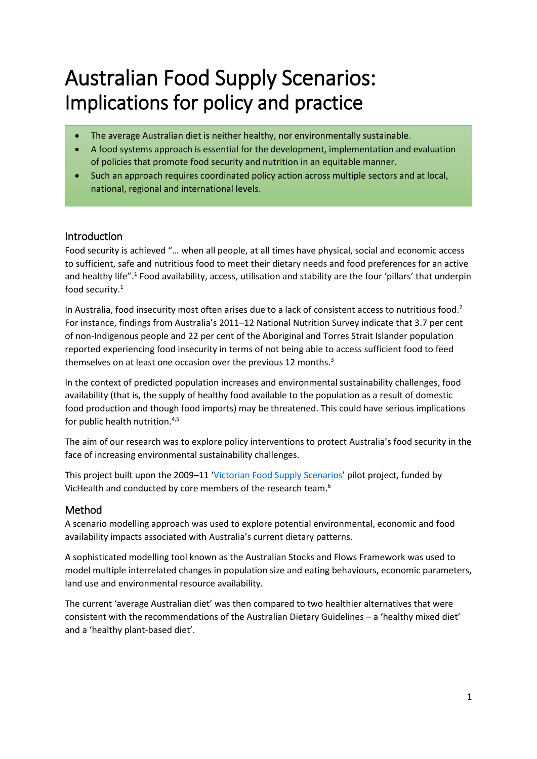# Australian Food Supply Scenarios: Implications for policy and practice

- The average Australian diet is neither healthy, nor environmentally sustainable.
- A food systems approach is essential for the development, implementation and evaluation of policies that promote food security and nutrition in an equitable manner.
- Such an approach requires coordinated policy action across multiple sectors and at local, national, regional and international levels.

# Introduction

Food security is achieved "… when all people, at all times have physical, social and economic access to sufficient, safe and nutritious food to meet their dietary needs and food preferences for an active and healthy life".<sup>1</sup> Food availability, access, utilisation and stability are the four 'pillars' that underpin food security. 1

In Australia, food insecurity most often arises due to a lack of consistent access to nutritious food.<sup>2</sup> For instance, findings from Australia's 2011–12 National Nutrition Survey indicate that 3.7 per cent of non-Indigenous people and 22 per cent of the Aboriginal and Torres Strait Islander population reported experiencing food insecurity in terms of not being able to access sufficient food to feed themselves on at least one occasion over the previous 12 months.<sup>3</sup>

In the context of predicted population increases and environmental sustainability challenges, food availability (that is, the supply of healthy food available to the population as a result of domestic food production and though food imports) may be threatened. This could have serious implications for public health nutrition. 4,5

The aim of our research was to explore policy interventions to protect Australia's food security in the face of increasing environmental sustainability challenges.

This project built upon the 2009–11 '[Victorian Food Supply Scenarios](https://www.vichealth.vic.gov.au/media-and-resources/publications/victorian-food-supply-scenarios-vichealth-veil-report)' pilot project, funded by VicHealth and conducted by core members of the research team.<sup>6</sup>

# Method

A scenario modelling approach was used to explore potential environmental, economic and food availability impacts associated with Australia's current dietary patterns.

A sophisticated modelling tool known as the Australian Stocks and Flows Framework was used to model multiple interrelated changes in population size and eating behaviours, economic parameters, land use and environmental resource availability.

The current 'average Australian diet' was then compared to two healthier alternatives that were consistent with the recommendations of the Australian Dietary Guidelines – a 'healthy mixed diet' and a 'healthy plant-based diet'.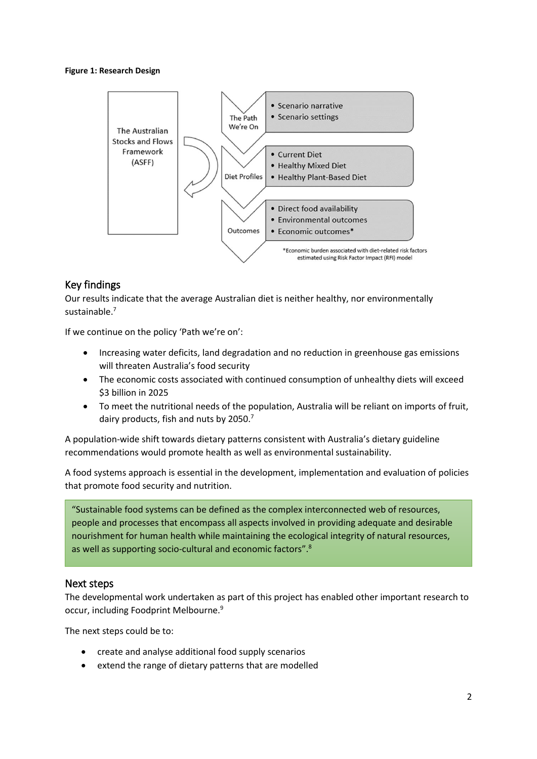#### **Figure 1: Research Design**



# Key findings

Our results indicate that the average Australian diet is neither healthy, nor environmentally sustainable. 7

If we continue on the policy 'Path we're on':

- Increasing water deficits, land degradation and no reduction in greenhouse gas emissions will threaten Australia's food security
- The economic costs associated with continued consumption of unhealthy diets will exceed \$3 billion in 2025
- To meet the nutritional needs of the population, Australia will be reliant on imports of fruit, dairy products, fish and nuts by 2050.<sup>7</sup>

A population-wide shift towards dietary patterns consistent with Australia's dietary guideline recommendations would promote health as well as environmental sustainability.

A food systems approach is essential in the development, implementation and evaluation of policies that promote food security and nutrition.

"Sustainable food systems can be defined as the complex interconnected web of resources, people and processes that encompass all aspects involved in providing adequate and desirable nourishment for human health while maintaining the ecological integrity of natural resources, as well as supporting socio-cultural and economic factors".<sup>8</sup>

#### Next steps

The developmental work undertaken as part of this project has enabled other important research to occur, including Foodprint Melbourne.<sup>9</sup>

The next steps could be to:

- create and analyse additional food supply scenarios
- extend the range of dietary patterns that are modelled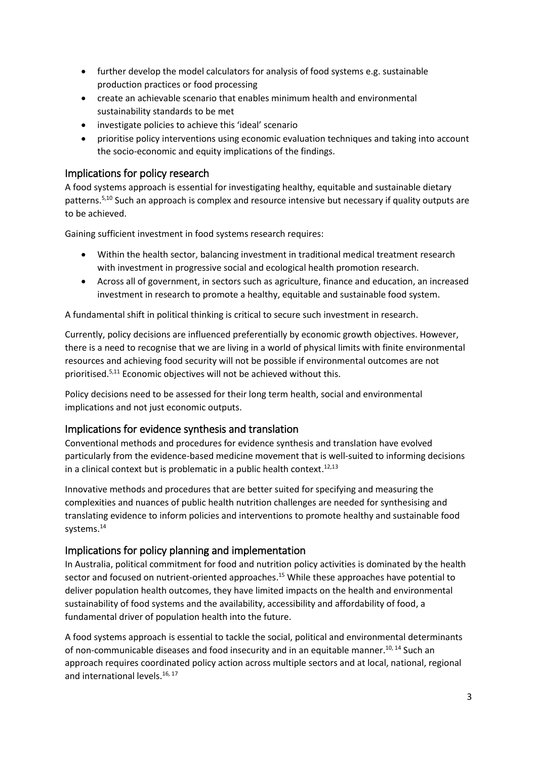- further develop the model calculators for analysis of food systems e.g. sustainable production practices or food processing
- create an achievable scenario that enables minimum health and environmental sustainability standards to be met
- investigate policies to achieve this 'ideal' scenario
- prioritise policy interventions using economic evaluation techniques and taking into account the socio-economic and equity implications of the findings.

# Implications for policy research

A food systems approach is essential for investigating healthy, equitable and sustainable dietary patterns. 5,10 Such an approach is complex and resource intensive but necessary if quality outputs are to be achieved.

Gaining sufficient investment in food systems research requires:

- Within the health sector, balancing investment in traditional medical treatment research with investment in progressive social and ecological health promotion research.
- Across all of government, in sectors such as agriculture, finance and education, an increased investment in research to promote a healthy, equitable and sustainable food system.

A fundamental shift in political thinking is critical to secure such investment in research.

Currently, policy decisions are influenced preferentially by economic growth objectives. However, there is a need to recognise that we are living in a world of physical limits with finite environmental resources and achieving food security will not be possible if environmental outcomes are not prioritised. 5,11 Economic objectives will not be achieved without this.

Policy decisions need to be assessed for their long term health, social and environmental implications and not just economic outputs.

# Implications for evidence synthesis and translation

Conventional methods and procedures for evidence synthesis and translation have evolved particularly from the evidence-based medicine movement that is well-suited to informing decisions in a clinical context but is problematic in a public health context.<sup>12,13</sup>

Innovative methods and procedures that are better suited for specifying and measuring the complexities and nuances of public health nutrition challenges are needed for synthesising and translating evidence to inform policies and interventions to promote healthy and sustainable food systems. 14

#### Implications for policy planning and implementation

In Australia, political commitment for food and nutrition policy activities is dominated by the health sector and focused on nutrient-oriented approaches.<sup>15</sup> While these approaches have potential to deliver population health outcomes, they have limited impacts on the health and environmental sustainability of food systems and the availability, accessibility and affordability of food, a fundamental driver of population health into the future.

A food systems approach is essential to tackle the social, political and environmental determinants of non-communicable diseases and food insecurity and in an equitable manner.<sup>10, 14</sup> Such an approach requires coordinated policy action across multiple sectors and at local, national, regional and international levels.<sup>16, 17</sup>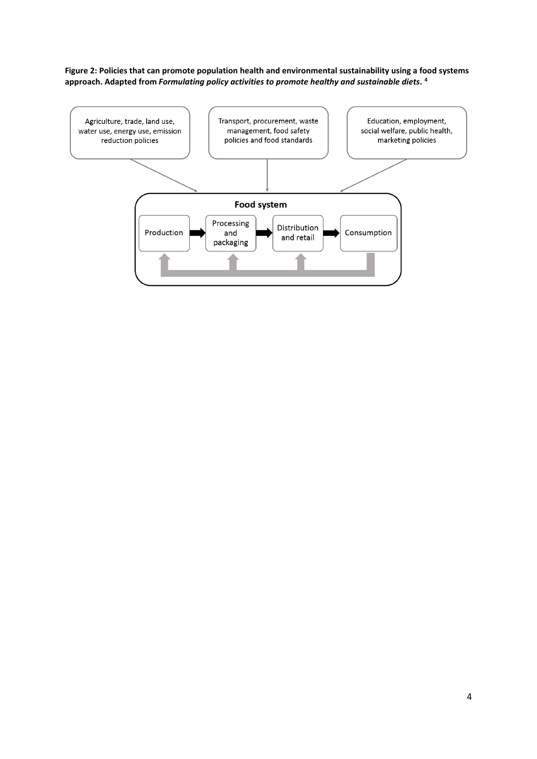**Figure 2: Policies that can promote population health and environmental sustainability using a food systems approach. Adapted from** *Formulating policy activities to promote healthy and sustainable diets.* **4**

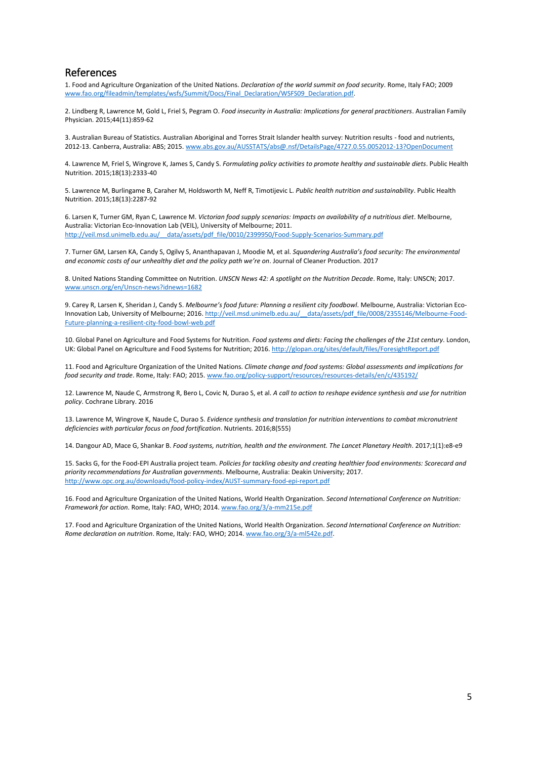#### References

1. Food and Agriculture Organization of the United Nations. *Declaration of the world summit on food security*. Rome, Italy FAO; 2009 [www.fao.org/fileadmin/templates/wsfs/Summit/Docs/Final\\_Declaration/WSFS09\\_Declaration.pdf.](http://www.fao.org/fileadmin/templates/wsfs/Summit/Docs/Final_Declaration/WSFS09_Declaration.pdf)

2. Lindberg R, Lawrence M, Gold L, Friel S, Pegram O. *Food insecurity in Australia: Implications for general practitioners*. Australian Family Physician. 2015;44(11):859-62

3. Australian Bureau of Statistics. Australian Aboriginal and Torres Strait Islander health survey: Nutrition results - food and nutrients, 2012-13. Canberra, Australia: ABS; 2015[. www.abs.gov.au/AUSSTATS/abs@.nsf/DetailsPage/4727.0.55.0052012-13?OpenDocument](http://www.abs.gov.au/AUSSTATS/abs@.nsf/DetailsPage/4727.0.55.0052012-13?OpenDocument)

4. Lawrence M, Friel S, Wingrove K, James S, Candy S. *Formulating policy activities to promote healthy and sustainable diets*. Public Health Nutrition. 2015;18(13):2333-40

5. Lawrence M, Burlingame B, Caraher M, Holdsworth M, Neff R, Timotijevic L. *Public health nutrition and sustainability*. Public Health Nutrition. 2015;18(13):2287-92

6. Larsen K, Turner GM, Ryan C, Lawrence M. *Victorian food supply scenarios: Impacts on availability of a nutritious diet*. Melbourne, Australia: Victorian Eco-Innovation Lab (VEIL), University of Melbourne; 2011. [http://veil.msd.unimelb.edu.au/\\_\\_data/assets/pdf\\_file/0010/2399950/Food-Supply-Scenarios-Summary.pdf](http://veil.msd.unimelb.edu.au/__data/assets/pdf_file/0010/2399950/Food-Supply-Scenarios-Summary.pdf)

7. Turner GM, Larsen KA, Candy S, Ogilvy S, Ananthapavan J, Moodie M, et al. *Squandering Australia's food security: The environmental and economic costs of our unhealthy diet and the policy path we're on*. Journal of Cleaner Production. 2017

8. United Nations Standing Committee on Nutrition. *UNSCN News 42: A spotlight on the Nutrition Decade*. Rome, Italy: UNSCN; 2017. [www.unscn.org/en/Unscn-news?idnews=1682](https://www.unscn.org/en/Unscn-news?idnews=1682)

9. Carey R, Larsen K, Sheridan J, Candy S. *Melbourne's food future: Planning a resilient city foodbowl*. Melbourne, Australia: Victorian Eco-Innovation Lab, University of Melbourne; 2016[. http://veil.msd.unimelb.edu.au/\\_\\_data/assets/pdf\\_file/0008/2355146/Melbourne-Food-](http://veil.msd.unimelb.edu.au/__data/assets/pdf_file/0008/2355146/Melbourne-Food-Future-planning-a-resilient-city-food-bowl-web.pdf)[Future-planning-a-resilient-city-food-bowl-web.pdf](http://veil.msd.unimelb.edu.au/__data/assets/pdf_file/0008/2355146/Melbourne-Food-Future-planning-a-resilient-city-food-bowl-web.pdf)

10. Global Panel on Agriculture and Food Systems for Nutrition. *Food systems and diets: Facing the challenges of the 21st century*. London, UK: Global Panel on Agriculture and Food Systems for Nutrition; 2016[. http://glopan.org/sites/default/files/ForesightReport.pdf](http://glopan.org/sites/default/files/ForesightReport.pdf)

11. Food and Agriculture Organization of the United Nations. *Climate change and food systems: Global assessments and implications for food security and trade*. Rome, Italy: FAO; 2015. [www.fao.org/policy-support/resources/resources-details/en/c/435192/](http://www.fao.org/policy-support/resources/resources-details/en/c/435192/)

12. Lawrence M, Naude C, Armstrong R, Bero L, Covic N, Durao S, et al. *A call to action to reshape evidence synthesis and use for nutrition policy*. Cochrane Library. 2016

13. Lawrence M, Wingrove K, Naude C, Durao S. *Evidence synthesis and translation for nutrition interventions to combat micronutrient deficiencies with particular focus on food fortification*. Nutrients. 2016;8(555)

14. Dangour AD, Mace G, Shankar B. *Food systems, nutrition, health and the environment. The Lancet Planetary Health*. 2017;1(1):e8-e9

15. Sacks G, for the Food-EPI Australia project team. *Policies for tackling obesity and creating healthier food environments: Scorecard and priority recommendations for Australian governments*. Melbourne, Australia: Deakin University; 2017. <http://www.opc.org.au/downloads/food-policy-index/AUST-summary-food-epi-report.pdf>

16. Food and Agriculture Organization of the United Nations, World Health Organization. *Second International Conference on Nutrition: Framework for action*. Rome, Italy: FAO, WHO; 2014. [www.fao.org/3/a-mm215e.pdf](file:///C:/Users/katewin/AppData/Local/Microsoft/Windows/Temporary%20Internet%20Files/Content.Outlook/W6AB8NR5/www.fao.org/3/a-mm215e.pdf)

17. Food and Agriculture Organization of the United Nations, World Health Organization. *Second International Conference on Nutrition: Rome declaration on nutrition*. Rome, Italy: FAO, WHO; 2014[. www.fao.org/3/a-ml542e.pdf.](http://www.fao.org/3/a-ml542e.pdf)